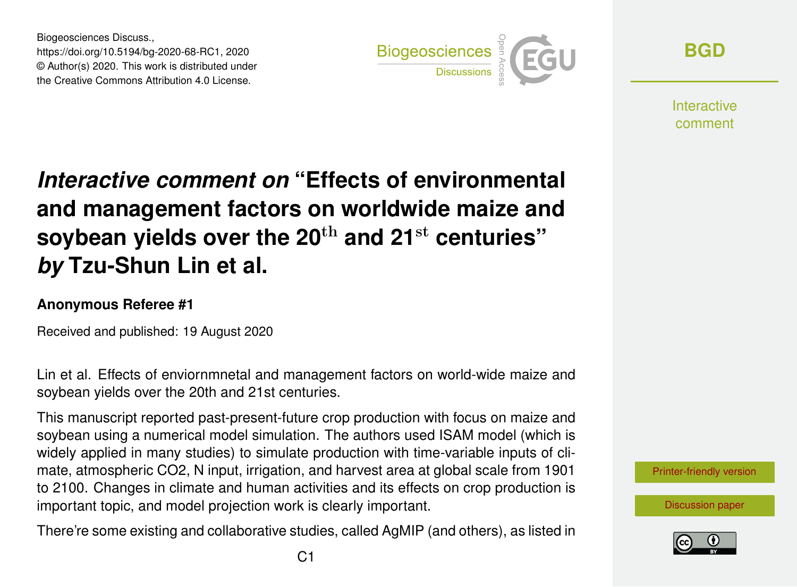Biogeosciences Discuss., https://doi.org/10.5194/bg-2020-68-RC1, 2020 © Author(s) 2020. This work is distributed under the Creative Commons Attribution 4.0 License.



**[BGD](https://bg.copernicus.org/preprints/)**

**Interactive** comment

# *Interactive comment on* **"Effects of environmental and management factors on worldwide maize and soybean yields over the 20**th **and 21**st **centuries"** *by* **Tzu-Shun Lin et al.**

# **Anonymous Referee #1**

Received and published: 19 August 2020

Lin et al. Effects of enviornmnetal and management factors on world-wide maize and soybean yields over the 20th and 21st centuries.

This manuscript reported past-present-future crop production with focus on maize and soybean using a numerical model simulation. The authors used ISAM model (which is widely applied in many studies) to simulate production with time-variable inputs of climate, atmospheric CO2, N input, irrigation, and harvest area at global scale from 1901 to 2100. Changes in climate and human activities and its effects on crop production is important topic, and model projection work is clearly important.

There're some existing and collaborative studies, called AgMIP (and others), as listed in

[Printer-friendly version](https://bg.copernicus.org/preprints/bg-2020-68/bg-2020-68-RC1-print.pdf)

[Discussion paper](https://bg.copernicus.org/preprints/bg-2020-68)

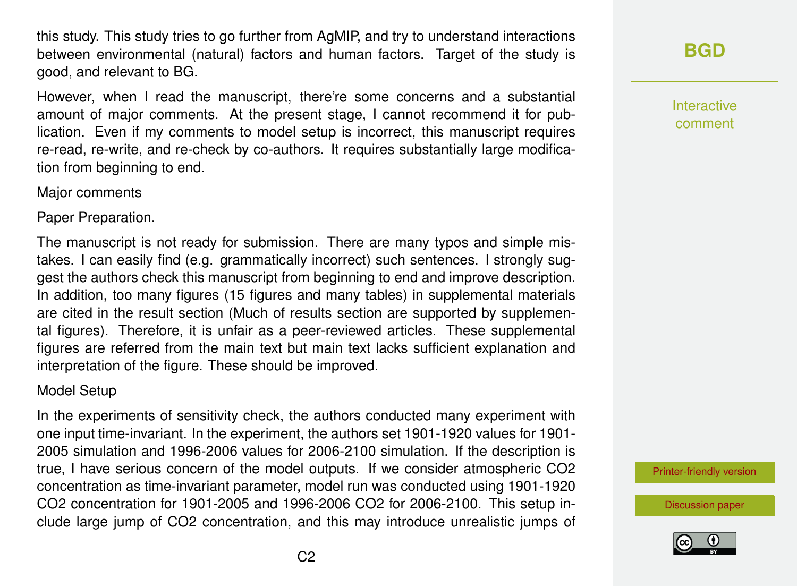this study. This study tries to go further from AgMIP, and try to understand interactions between environmental (natural) factors and human factors. Target of the study is good, and relevant to BG.

However, when I read the manuscript, there're some concerns and a substantial amount of major comments. At the present stage, I cannot recommend it for publication. Even if my comments to model setup is incorrect, this manuscript requires re-read, re-write, and re-check by co-authors. It requires substantially large modification from beginning to end.

### Major comments

Paper Preparation.

The manuscript is not ready for submission. There are many typos and simple mistakes. I can easily find (e.g. grammatically incorrect) such sentences. I strongly suggest the authors check this manuscript from beginning to end and improve description. In addition, too many figures (15 figures and many tables) in supplemental materials are cited in the result section (Much of results section are supported by supplemental figures). Therefore, it is unfair as a peer-reviewed articles. These supplemental figures are referred from the main text but main text lacks sufficient explanation and interpretation of the figure. These should be improved.

## Model Setup

In the experiments of sensitivity check, the authors conducted many experiment with one input time-invariant. In the experiment, the authors set 1901-1920 values for 1901- 2005 simulation and 1996-2006 values for 2006-2100 simulation. If the description is true, I have serious concern of the model outputs. If we consider atmospheric CO2 concentration as time-invariant parameter, model run was conducted using 1901-1920 CO2 concentration for 1901-2005 and 1996-2006 CO2 for 2006-2100. This setup include large jump of CO2 concentration, and this may introduce unrealistic jumps of **[BGD](https://bg.copernicus.org/preprints/)**

Interactive comment

[Printer-friendly version](https://bg.copernicus.org/preprints/bg-2020-68/bg-2020-68-RC1-print.pdf)

[Discussion paper](https://bg.copernicus.org/preprints/bg-2020-68)